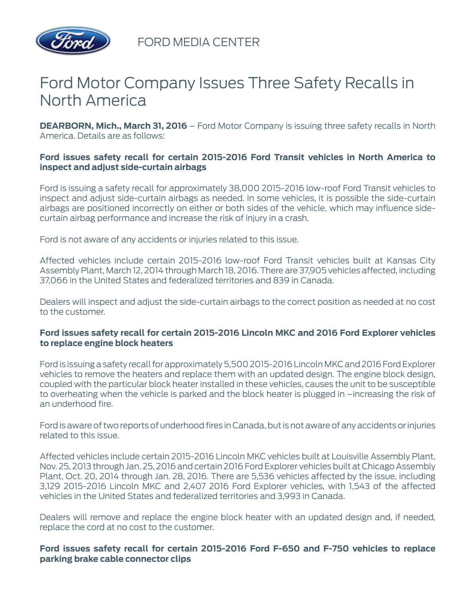

FORD MEDIA CENTER

# Ford Motor Company Issues Three Safety Recalls in North America

**DEARBORN, Mich., March 31, 2016** – Ford Motor Company is issuing three safety recalls in North America. Details are as follows:

## **Ford issues safety recall for certain 2015-2016 Ford Transit vehicles in North America to inspect and adjust side-curtain airbags**

Ford is issuing a safety recall for approximately 38,000 2015-2016 low-roof Ford Transit vehicles to inspect and adjust side-curtain airbags as needed. In some vehicles, it is possible the side-curtain airbags are positioned incorrectly on either or both sides of the vehicle, which may influence sidecurtain airbag performance and increase the risk of injury in a crash.

Ford is not aware of any accidents or injuries related to this issue.

Affected vehicles include certain 2015-2016 low-roof Ford Transit vehicles built at Kansas City Assembly Plant, March 12, 2014 through March 18, 2016. There are 37,905 vehicles affected, including 37,066 in the United States and federalized territories and 839 in Canada.

Dealers will inspect and adjust the side-curtain airbags to the correct position as needed at no cost to the customer.

### **Ford issues safety recall for certain 2015-2016 Lincoln MKC and 2016 Ford Explorer vehicles to replace engine block heaters**

Ford is issuing a safety recall for approximately 5,500 2015-2016 Lincoln MKC and 2016 Ford Explorer vehicles to remove the heaters and replace them with an updated design. The engine block design, coupled with the particular block heater installed in these vehicles, causes the unit to be susceptible to overheating when the vehicle is parked and the block heater is plugged in –increasing the risk of an underhood fire.

Ford is aware of two reports of underhood fires in Canada, but is not aware of any accidents or injuries related to this issue.

Affected vehicles include certain 2015-2016 Lincoln MKC vehicles built at Louisville Assembly Plant, Nov. 25, 2013 through Jan. 25, 2016 and certain 2016 Ford Explorer vehicles built at Chicago Assembly Plant, Oct. 20, 2014 through Jan. 28, 2016. There are 5,536 vehicles affected by the issue, including 3,129 2015-2016 Lincoln MKC and 2,407 2016 Ford Explorer vehicles, with 1,543 of the affected vehicles in the United States and federalized territories and 3,993 in Canada.

Dealers will remove and replace the engine block heater with an updated design and, if needed, replace the cord at no cost to the customer.

### **Ford issues safety recall for certain 2015-2016 Ford F-650 and F-750 vehicles to replace parking brake cable connector clips**